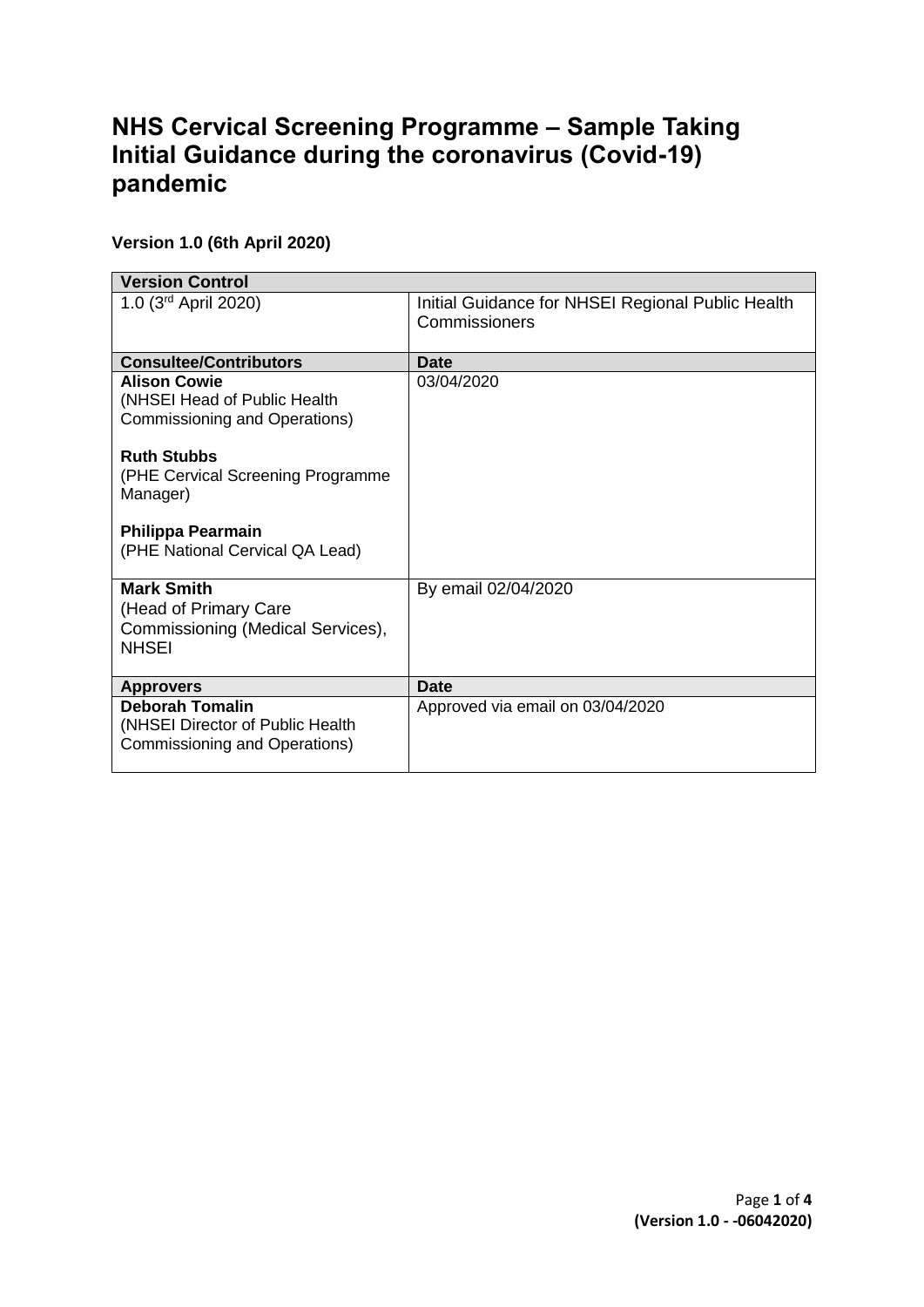# **NHS Cervical Screening Programme – Sample Taking Initial Guidance during the coronavirus (Covid-19) pandemic**

# **Version 1.0 (6th April 2020)**

| <b>Version Control</b>                                                                          |                                                                    |  |
|-------------------------------------------------------------------------------------------------|--------------------------------------------------------------------|--|
| 1.0 $(3^{rd}$ April 2020)                                                                       | Initial Guidance for NHSEI Regional Public Health<br>Commissioners |  |
| <b>Consultee/Contributors</b>                                                                   | <b>Date</b>                                                        |  |
| <b>Alison Cowie</b><br>(NHSEI Head of Public Health<br>Commissioning and Operations)            | 03/04/2020                                                         |  |
| <b>Ruth Stubbs</b><br>(PHE Cervical Screening Programme<br>Manager)                             |                                                                    |  |
| Philippa Pearmain<br>(PHE National Cervical QA Lead)                                            |                                                                    |  |
| <b>Mark Smith</b><br>(Head of Primary Care<br>Commissioning (Medical Services),<br><b>NHSEI</b> | By email 02/04/2020                                                |  |
| <b>Approvers</b>                                                                                | <b>Date</b>                                                        |  |
| <b>Deborah Tomalin</b><br>(NHSEI Director of Public Health<br>Commissioning and Operations)     | Approved via email on 03/04/2020                                   |  |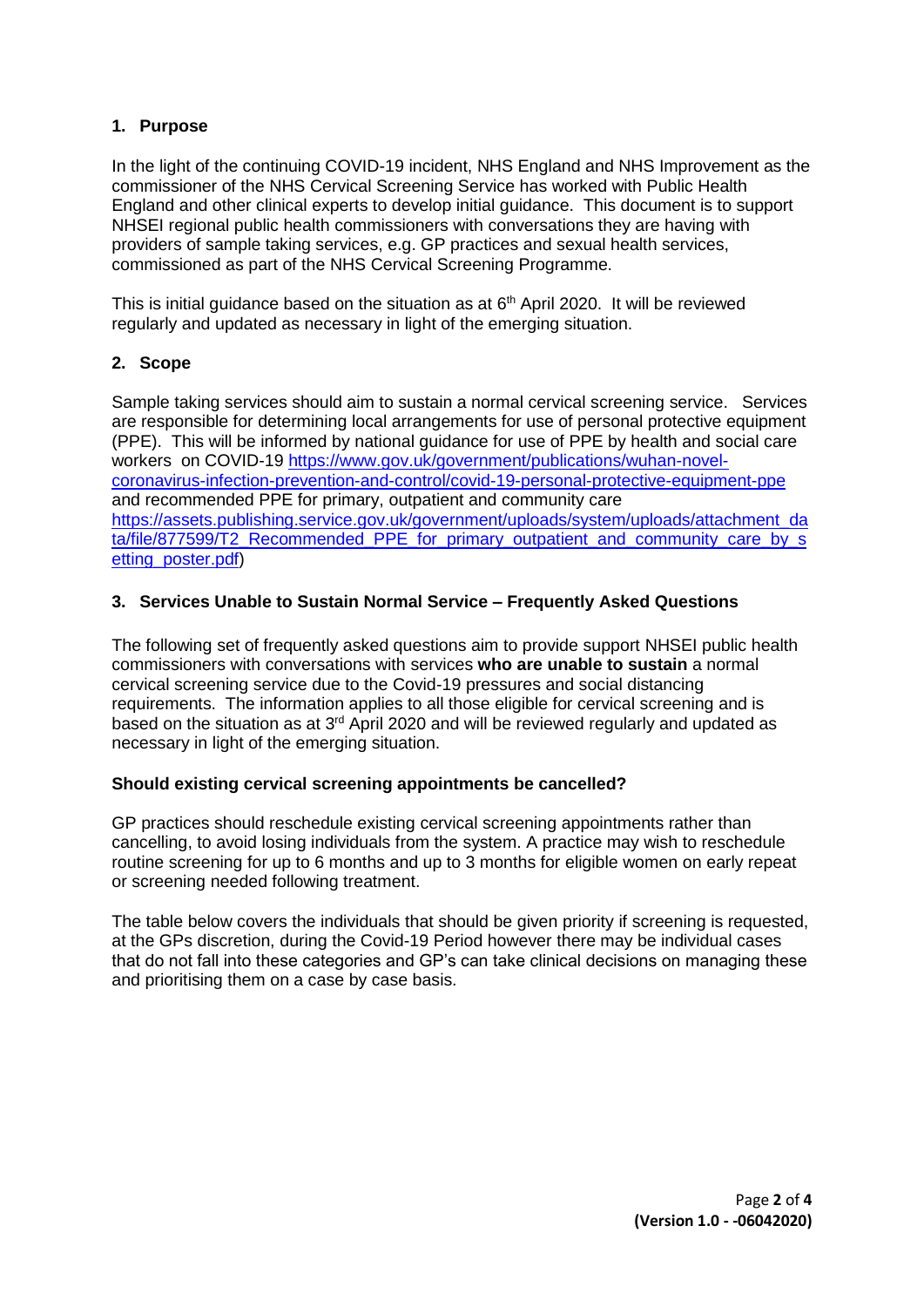### **1. Purpose**

In the light of the continuing COVID-19 incident, NHS England and NHS Improvement as the commissioner of the NHS Cervical Screening Service has worked with Public Health England and other clinical experts to develop initial guidance. This document is to support NHSEI regional public health commissioners with conversations they are having with providers of sample taking services, e.g. GP practices and sexual health services, commissioned as part of the NHS Cervical Screening Programme.

This is initial guidance based on the situation as at  $6<sup>th</sup>$  April 2020. It will be reviewed regularly and updated as necessary in light of the emerging situation.

# **2. Scope**

Sample taking services should aim to sustain a normal cervical screening service. Services are responsible for determining local arrangements for use of personal protective equipment (PPE). This will be informed by national guidance for use of PPE by health and social care workers on COVID-19 [https://www.gov.uk/government/publications/wuhan-novel](https://www.gov.uk/government/publications/wuhan-novel-coronavirus-infection-prevention-and-control/covid-19-personal-protective-equipment-ppe)[coronavirus-infection-prevention-and-control/covid-19-personal-protective-equipment-ppe](https://www.gov.uk/government/publications/wuhan-novel-coronavirus-infection-prevention-and-control/covid-19-personal-protective-equipment-ppe) and recommended PPE for primary, outpatient and community care [https://assets.publishing.service.gov.uk/government/uploads/system/uploads/attachment\\_da](https://assets.publishing.service.gov.uk/government/uploads/system/uploads/attachment_data/file/877599/T2_Recommended_PPE_for_primary_outpatient_and_community_care_by_setting_poster.pdf) [ta/file/877599/T2\\_Recommended\\_PPE\\_for\\_primary\\_outpatient\\_and\\_community\\_care\\_by\\_s](https://assets.publishing.service.gov.uk/government/uploads/system/uploads/attachment_data/file/877599/T2_Recommended_PPE_for_primary_outpatient_and_community_care_by_setting_poster.pdf) [etting\\_poster.pdf\)](https://assets.publishing.service.gov.uk/government/uploads/system/uploads/attachment_data/file/877599/T2_Recommended_PPE_for_primary_outpatient_and_community_care_by_setting_poster.pdf)

# **3. Services Unable to Sustain Normal Service – Frequently Asked Questions**

The following set of frequently asked questions aim to provide support NHSEI public health commissioners with conversations with services **who are unable to sustain** a normal cervical screening service due to the Covid-19 pressures and social distancing requirements. The information applies to all those eligible for cervical screening and is based on the situation as at 3<sup>rd</sup> April 2020 and will be reviewed regularly and updated as necessary in light of the emerging situation.

#### **Should existing cervical screening appointments be cancelled?**

GP practices should reschedule existing cervical screening appointments rather than cancelling, to avoid losing individuals from the system. A practice may wish to reschedule routine screening for up to 6 months and up to 3 months for eligible women on early repeat or screening needed following treatment.

The table below covers the individuals that should be given priority if screening is requested, at the GPs discretion, during the Covid-19 Period however there may be individual cases that do not fall into these categories and GP's can take clinical decisions on managing these and prioritising them on a case by case basis.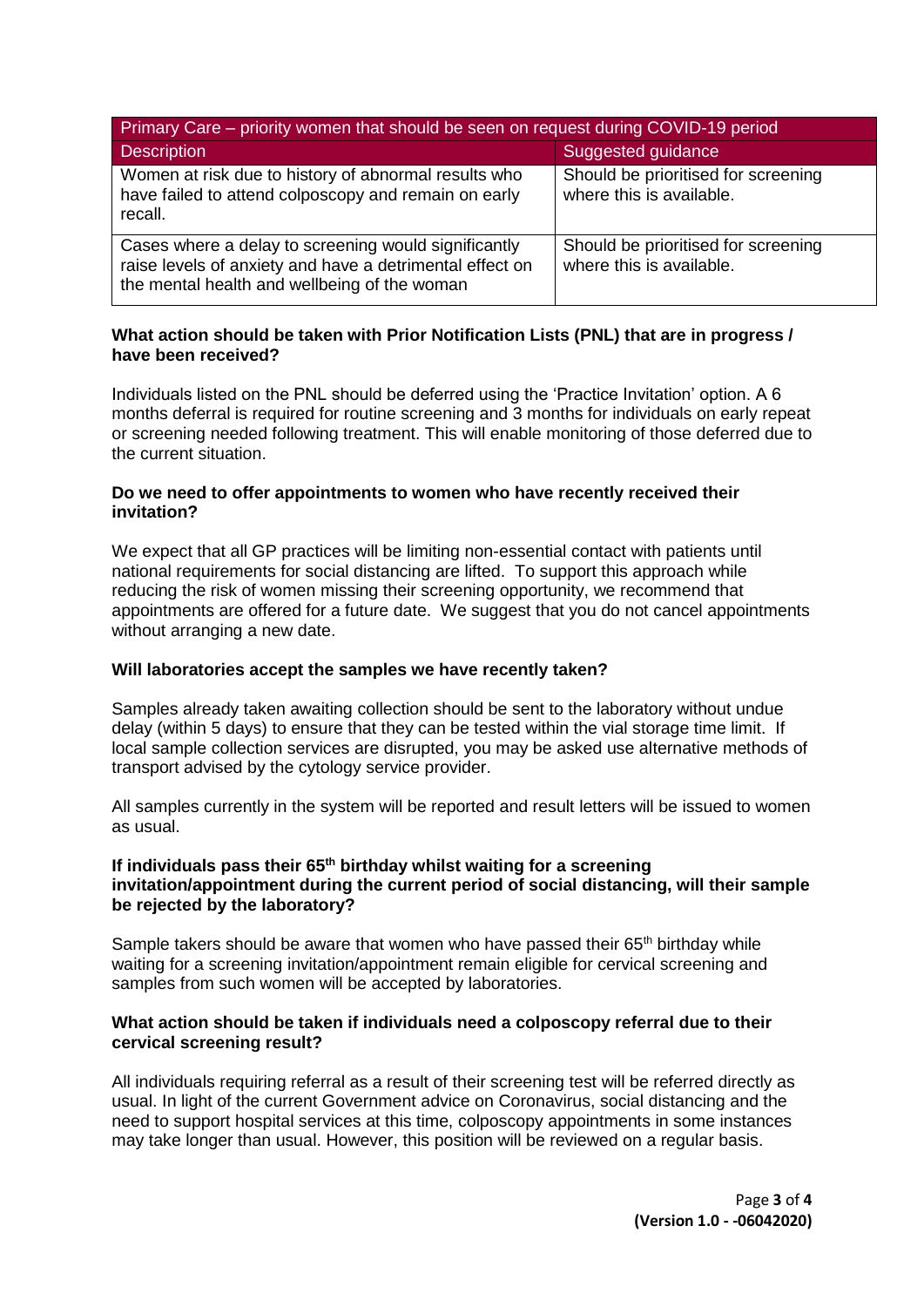| Primary Care – priority women that should be seen on request during COVID-19 period                                                                              |                                                                 |  |
|------------------------------------------------------------------------------------------------------------------------------------------------------------------|-----------------------------------------------------------------|--|
| <b>Description</b>                                                                                                                                               | Suggested guidance                                              |  |
| Women at risk due to history of abnormal results who<br>have failed to attend colposcopy and remain on early<br>recall.                                          | Should be prioritised for screening<br>where this is available. |  |
| Cases where a delay to screening would significantly<br>raise levels of anxiety and have a detrimental effect on<br>the mental health and wellbeing of the woman | Should be prioritised for screening<br>where this is available. |  |

#### **What action should be taken with Prior Notification Lists (PNL) that are in progress / have been received?**

Individuals listed on the PNL should be deferred using the 'Practice Invitation' option. A 6 months deferral is required for routine screening and 3 months for individuals on early repeat or screening needed following treatment. This will enable monitoring of those deferred due to the current situation.

#### **Do we need to offer appointments to women who have recently received their invitation?**

We expect that all GP practices will be limiting non-essential contact with patients until national requirements for social distancing are lifted. To support this approach while reducing the risk of women missing their screening opportunity, we recommend that appointments are offered for a future date. We suggest that you do not cancel appointments without arranging a new date.

#### **Will laboratories accept the samples we have recently taken?**

Samples already taken awaiting collection should be sent to the laboratory without undue delay (within 5 days) to ensure that they can be tested within the vial storage time limit. If local sample collection services are disrupted, you may be asked use alternative methods of transport advised by the cytology service provider.

All samples currently in the system will be reported and result letters will be issued to women as usual.

#### **If individuals pass their 65th birthday whilst waiting for a screening invitation/appointment during the current period of social distancing, will their sample be rejected by the laboratory?**

Sample takers should be aware that women who have passed their  $65<sup>th</sup>$  birthday while waiting for a screening invitation/appointment remain eligible for cervical screening and samples from such women will be accepted by laboratories.

#### **What action should be taken if individuals need a colposcopy referral due to their cervical screening result?**

All individuals requiring referral as a result of their screening test will be referred directly as usual. In light of the current Government advice on Coronavirus, social distancing and the need to support hospital services at this time, colposcopy appointments in some instances may take longer than usual. However, this position will be reviewed on a regular basis.